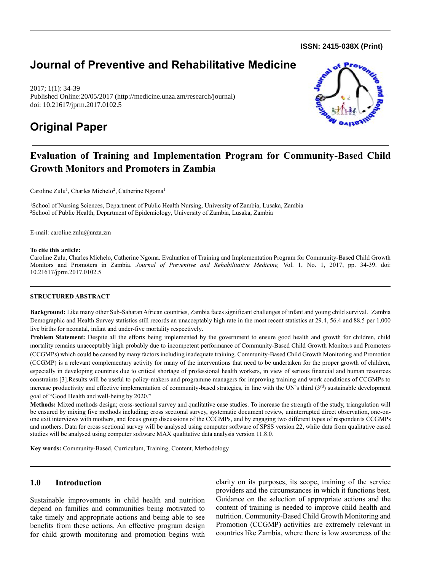**ISSN: 2415-038X (Print)** 

# **Journal of Preventive and Rehabilitative Medicine**

2017; 1(1): 34-39 Published Online:20/05/2017 (http://medicine.unza.zm/research/journal) doi: 10.21617/jprm.2017.0102.5

# **Original Paper**



# **Evaluation of Training and Implementation Program for Community-Based Child Growth Monitors and Promoters in Zambia**

Caroline Zulu<sup>1</sup>, Charles Michelo<sup>2</sup>, Catherine Ngoma<sup>1</sup>

<sup>1</sup>School of Nursing Sciences, Department of Public Health Nursing, University of Zambia, Lusaka, Zambia <sup>2</sup>School of Public Health, Department of Epidemiology, University of Zambia, Lusaka, Zambia

E-mail: caroline.zulu@unza.zm

#### **To cite this article:**

Caroline Zulu, Charles Michelo, Catherine Ngoma. Evaluation of Training and Implementation Program for Community-Based Child Growth Monitors and Promoters in Zambia. *Journal of Preventive and Rehabilitative Medicine,* Vol. 1, No. 1, 2017, pp. 34-39. doi: 10.21617/jprm.2017.0102.5

#### **STRUCTURED ABSTRACT**

**Background:** Like many other Sub-Saharan African countries, Zambia faces significant challenges of infant and young child survival. Zambia Demographic and Health Survey statistics still records an unacceptably high rate in the most recent statistics at 29.4, 56.4 and 88.5 per 1,000 live births for neonatal, infant and under-five mortality respectively.

Problem Statement: Despite all the efforts being implemented by the government to ensure good health and growth for children, child mortality remains unacceptably high probably due to incompetent performance of Community-Based Child Growth Monitors and Promoters (CCGMPs) which could be caused by many factors including inadequate training. Community-Based Child Growth Monitoring and Promotion (CCGMP) is a relevant complementary activity for many of the interventions that need to be undertaken for the proper growth of children, especially in developing countries due to critical shortage of professional health workers, in view of serious financial and human resources constraints [3].Results will be useful to policy-makers and programme managers for improving training and work conditions of CCGMPs to increase productivity and effective implementation of community-based strategies, in line with the UN's third (3<sup>rd</sup>) sustainable development goal of "Good Health and well-being by 2020."

**Methods:** Mixed methods design; cross-sectional survey and qualitative case studies. To increase the strength of the study, triangulation will be ensured by mixing five methods including; cross sectional survey, systematic document review, uninterrupted direct observation, one-onone exit interviews with mothers, and focus group discussions of the CCGMPs, and by engaging two different types of respondents CCGMPs and mothers. Data for cross sectional survey will be analysed using computer software of SPSS version 22, while data from qualitative cased studies will be analysed using computer software MAX qualitative data analysis version 11.8.0.

**Key words:** Community-Based, Curriculum, Training, Content, Methodology

## **1.0 Introduction**

Sustainable improvements in child health and nutrition depend on families and communities being motivated to take timely and appropriate actions and being able to see benefits from these actions. An effective program design for child growth monitoring and promotion begins with clarity on its purposes, its scope, training of the service providers and the circumstances in which it functions best. Guidance on the selection of appropriate actions and the content of training is needed to improve child health and nutrition. Community-Based Child Growth Monitoring and Promotion (CCGMP) activities are extremely relevant in countries like Zambia, where there is low awareness of the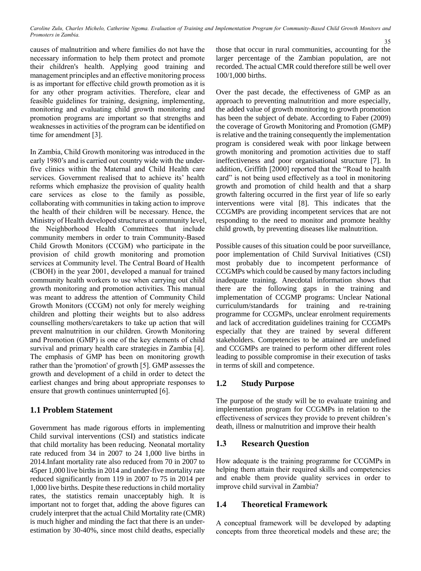*Caroline Zulu, Charles Michelo, Catherine Ngoma. Evaluation of Training and Implementation Program for Community-Based Child Growth Monitors and Promoters in Zambia.* 35

causes of malnutrition and where families do not have the necessary information to help them protect and promote their children's health. Applying good training and management principles and an effective monitoring process is as important for effective child growth promotion as it is for any other program activities. Therefore, clear and feasible guidelines for training, designing, implementing, monitoring and evaluating child growth monitoring and promotion programs are important so that strengths and weaknesses in activities of the program can be identified on time for amendment [3].

In Zambia, Child Growth monitoring was introduced in the early 1980's and is carried out country wide with the underfive clinics within the Maternal and Child Health care services. Government realised that to achieve its' health reforms which emphasize the provision of quality health care services as close to the family as possible, collaborating with communities in taking action to improve the health of their children will be necessary. Hence, the Ministry of Health developed structures at community level, the Neighborhood Health Committees that include community members in order to train Community-Based Child Growth Monitors (CCGM) who participate in the provision of child growth monitoring and promotion services at Community level. The Central Board of Health (CBOH) in the year 2001, developed a manual for trained community health workers to use when carrying out child growth monitoring and promotion activities. This manual was meant to address the attention of Community Child Growth Monitors (CCGM) not only for merely weighing children and plotting their weights but to also address counselling mothers/caretakers to take up action that will prevent malnutrition in our children. Growth Monitoring and Promotion (GMP) is one of the key elements of child survival and primary health care strategies in Zambia [4]. The emphasis of GMP has been on monitoring growth rather than the 'promotion' of growth [5]. GMP assesses the growth and development of a child in order to detect the earliest changes and bring about appropriate responses to ensure that growth continues uninterrupted [6].

# **1.1 Problem Statement**

Government has made rigorous efforts in implementing Child survival interventions (CSI) and statistics indicate that child mortality has been reducing. Neonatal mortality rate reduced from 34 in 2007 to 24 1,000 live births in 2014.Infant mortality rate also reduced from 70 in 2007 to 45per 1,000 live births in 2014 and under-five mortality rate reduced significantly from 119 in 2007 to 75 in 2014 per 1,000 live births. Despite these reductions in child mortality rates, the statistics remain unacceptably high. It is important not to forget that, adding the above figures can crudely interpret that the actual Child Mortality rate (CMR) is much higher and minding the fact that there is an underestimation by 30-40%, since most child deaths, especially those that occur in rural communities, accounting for the larger percentage of the Zambian population, are not recorded. The actual CMR could therefore still be well over 100/1,000 births.

Over the past decade, the effectiveness of GMP as an approach to preventing malnutrition and more especially, the added value of growth monitoring to growth promotion has been the subject of debate. According to Faber (2009) the coverage of Growth Monitoring and Promotion (GMP) is relative and the training consequently the implementation program is considered weak with poor linkage between growth monitoring and promotion activities due to staff ineffectiveness and poor organisational structure [7]. In addition, Griffith [2000] reported that the "Road to health card" is not being used effectively as a tool in monitoring growth and promotion of child health and that a sharp growth faltering occurred in the first year of life so early interventions were vital [8]. This indicates that the CCGMPs are providing incompetent services that are not responding to the need to monitor and promote healthy child growth, by preventing diseases like malnutrition.

Possible causes of this situation could be poor surveillance, poor implementation of Child Survival Initiatives (CSI) most probably due to incompetent performance of CCGMPs which could be caused by many factors including inadequate training. Anecdotal information shows that there are the following gaps in the training and implementation of CCGMP programs: Unclear National curriculum/standards for training and re-training programme for CCGMPs, unclear enrolment requirements and lack of accreditation guidelines training for CCGMPs especially that they are trained by several different stakeholders. Competencies to be attained are undefined and CCGMPs are trained to perform other different roles leading to possible compromise in their execution of tasks in terms of skill and competence.

# **1.2 Study Purpose**

The purpose of the study will be to evaluate training and implementation program for CCGMPs in relation to the effectiveness of services they provide to prevent children's death, illness or malnutrition and improve their health

## **1.3 Research Question**

How adequate is the training programme for CCGMPs in helping them attain their required skills and competencies and enable them provide quality services in order to improve child survival in Zambia?

## **1.4 Theoretical Framework**

A conceptual framework will be developed by adapting concepts from three theoretical models and these are; the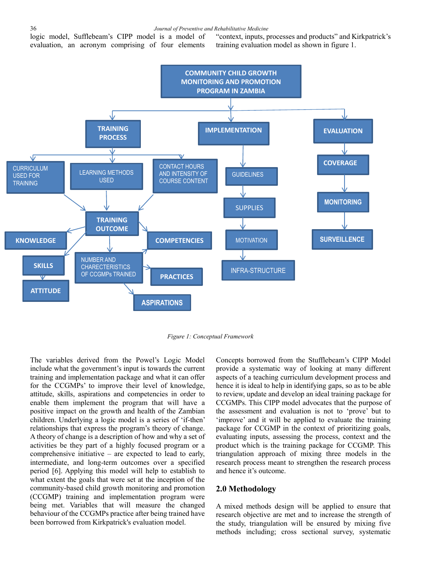logic model, Sufflebeam's CIPP model is a model of evaluation, an acronym comprising of four elements "context, inputs, processes and products" and Kirkpatrick's training evaluation model as shown in figure 1.



*Figure 1: Conceptual Framework*

The variables derived from the Powel's Logic Model include what the government's input is towards the current training and implementation package and what it can offer for the CCGMPs' to improve their level of knowledge, attitude, skills, aspirations and competencies in order to enable them implement the program that will have a positive impact on the growth and health of the Zambian children. Underlying a logic model is a series of 'if-then' relationships that express the program's theory of change. A theory of change is a description of how and why a set of activities be they part of a highly focused program or a comprehensive initiative – are expected to lead to early, intermediate, and long-term outcomes over a specified period [6]. Applying this model will help to establish to what extent the goals that were set at the inception of the community-based child growth monitoring and promotion (CCGMP) training and implementation program were being met. Variables that will measure the changed behaviour of the CCGMPs practice after being trained have been borrowed from Kirkpatrick's evaluation model.

Concepts borrowed from the Stufflebeam's CIPP Model provide a systematic way of looking at many different aspects of a teaching curriculum development process and hence it is ideal to help in identifying gaps, so as to be able to review, update and develop an ideal training package for CCGMPs. This CIPP model advocates that the purpose of the assessment and evaluation is not to 'prove' but to 'improve' and it will be applied to evaluate the training package for CCGMP in the context of prioritizing goals, evaluating inputs, assessing the process, context and the product which is the training package for CCGMP. This triangulation approach of mixing three models in the research process meant to strengthen the research process and hence it's outcome.

#### **2.0 Methodology**

A mixed methods design will be applied to ensure that research objective are met and to increase the strength of the study, triangulation will be ensured by mixing five methods including; cross sectional survey, systematic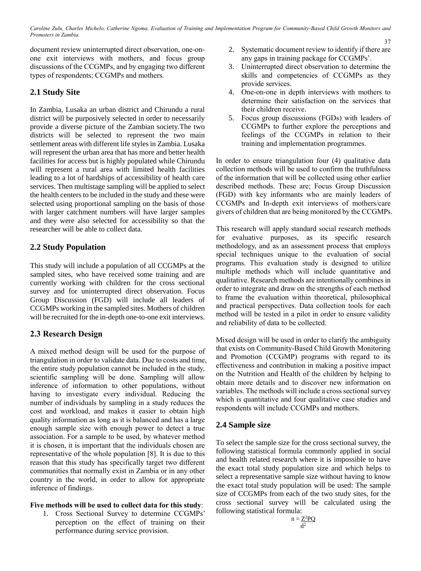*Caroline Zulu, Charles Michelo, Catherine Ngoma. Evaluation of Training and Implementation Program for Community-Based Child Growth Monitors and Promoters in Zambia.*

document review uninterrupted direct observation, one-onone exit interviews with mothers, and focus group discussions of the CCGMPs, and by engaging two different types of respondents; CCGMPs and mothers.

# **2.1 Study Site**

In Zambia, Lusaka an urban district and Chirundu a rural district will be purposively selected in order to necessarily provide a diverse picture of the Zambian society.The two districts will be selected to represent the two main settlement areas with different life styles in Zambia. Lusaka will represent the urban area that has more and better health facilities for access but is highly populated while Chirundu will represent a rural area with limited health facilities leading to a lot of hardships of accessibility of health care services. Then multistage sampling will be applied to select the health centers to be included in the study and these were selected using proportional sampling on the basis of those with larger catchment numbers will have larger samples and they were also selected for accessibility so that the researcher will be able to collect data.

# **2.2 Study Population**

This study will include a population of all CCGMPs at the sampled sites, who have received some training and are currently working with children for the cross sectional survey and for uninterrupted direct observation. Focus Group Discussion (FGD) will include all leaders of CCGMPs working in the sampled sites. Mothers of children will be recruited for the in-depth one-to-one exit interviews.

# **2.3 Research Design**

A mixed method design will be used for the purpose of triangulation in order to validate data. Due to costs and time, the entire study population cannot be included in the study, scientific sampling will be done. Sampling will allow inference of information to other populations, without having to investigate every individual. Reducing the number of individuals by sampling in a study reduces the cost and workload, and makes it easier to obtain high quality information as long as it is balanced and has a large enough sample size with enough power to detect a true association. For a sample to be used, by whatever method it is chosen, it is important that the individuals chosen are representative of the whole population [8]. It is due to this reason that this study has specifically target two different communities that normally exist in Zambia or in any other country in the world, in order to allow for appropriate inference of findings.

## **Five methods will be used to collect data for this study**:

1. Cross Sectional Survey to determine CCGMPs' perception on the effect of training on their performance during service provision.

- 37 2. Systematic document review to identify if there are any gaps in training package for CCGMPs'.
- 3. Uninterrupted direct observation to determine the skills and competencies of CCGMPs as they provide services.
- 4. One-on-one in depth interviews with mothers to determine their satisfaction on the services that their children receive.
- 5. Focus group discussions (FGDs) with leaders of CCGMPs to further explore the perceptions and feelings of the CCGMPs in relation to their training and implementation programmes.

In order to ensure triangulation four (4) qualitative data collection methods will be used to confirm the truthfulness of the information that will be collected using other earlier described methods. These are; Focus Group Discussion (FGD) with key informants who are mainly leaders of CCGMPs and In-depth exit interviews of mothers/care givers of children that are being monitored by the CCGMPs.

This research will apply standard social research methods for evaluative purposes, as its specific research methodology, and as an assessment process that employs special techniques unique to the evaluation of social programs. This evaluation study is designed to utilize multiple methods which will include quantitative and qualitative. Research methods are intentionally combines in order to integrate and draw on the strengths of each method to frame the evaluation within theoretical, philosophical and practical perspectives. Data collection tools for each method will be tested in a pilot in order to ensure validity and reliability of data to be collected.

Mixed design will be used in order to clarify the ambiguity that exists on Community-Based Child Growth Monitoring and Promotion (CCGMP) programs with regard to its effectiveness and contribution in making a positive impact on the Nutrition and Health of the children by helping to obtain more details and to discover new information on variables. The methods will include a cross sectional survey which is quantitative and four qualitative case studies and respondents will include CCGMPs and mothers.

# **2.4 Sample size**

To select the sample size for the cross sectional survey, the following statistical formula commonly applied in social and health related research where it is impossible to have the exact total study population size and which helps to select a representative sample size without having to know the exact total study population will be used: The sample size of CCGMPs from each of the two study sites, for the cross sectional survey will be calculated using the following statistical formula:

$$
n = \frac{Z^2 PQ}{d^2}
$$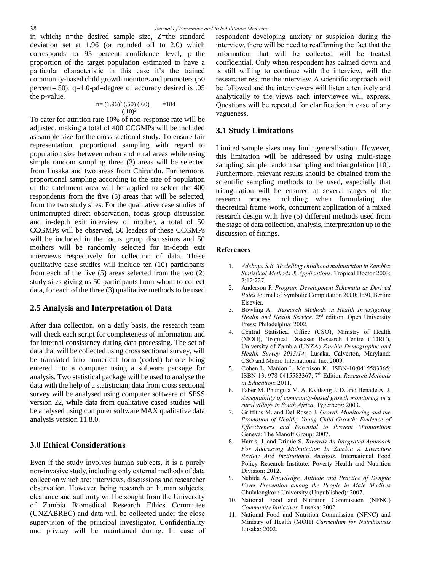in which**;** n=the desired sample size, Z=the standard deviation set at 1.96 (or rounded off to 2.0) which corresponds to 95 percent confidence level**,** p=the proportion of the target population estimated to have a particular characteristic in this case it's the trained community-based child growth monitors and promoters (50 percent=.50), q=1.0-pd=degree of accuracy desired is .05 the p-value.

$$
n = \frac{(1.96)^2 (.50) (.60)}{(.10)^2} = 184
$$

To cater for attrition rate 10% of non-response rate will be adjusted, making a total of 400 CCGMPs will be included as sample size for the cross sectional study. To ensure fair representation, proportional sampling with regard to population size between urban and rural areas while using simple random sampling three (3) areas will be selected from Lusaka and two areas from Chirundu. Furthermore, proportional sampling according to the size of population of the catchment area will be applied to select the 400 respondents from the five (5) areas that will be selected, from the two study sites. For the qualitative case studies of uninterrupted direct observation, focus group discussion and in-depth exit interview of mother, a total of 50 CCGMPs will be observed, 50 leaders of these CCGMPs will be included in the focus group discussions and 50 mothers will be randomly selected for in-depth exit interviews respectively for collection of data. These qualitative case studies will include ten (10) participants from each of the five (5) areas selected from the two (2) study sites giving us 50 participants from whom to collect data, for each of the three (3) qualitative methods to be used.

### **2.5 Analysis and Interpretation of Data**

After data collection, on a daily basis, the research team will check each script for completeness of information and for internal consistency during data processing. The set of data that will be collected using cross sectional survey, will be translated into numerical form (coded) before being entered into a computer using a software package for analysis. Two statistical package will be used to analyse the data with the help of a statistician; data from cross sectional survey will be analysed using computer software of SPSS version 22, while data from qualitative cased studies will be analysed using computer software MAX qualitative data analysis version 11.8.0.

## **3.0 Ethical Considerations**

Even if the study involves human subjects, it is a purely non-invasive study, including only external methods of data collection which are: interviews, discussions and researcher observation. However, being research on human subjects, clearance and authority will be sought from the University of Zambia Biomedical Research Ethics Committee (UNZABREC) and data will be collected under the close supervision of the principal investigator. Confidentiality and privacy will be maintained during. In case of respondent developing anxiety or suspicion during the interview, there will be need to reaffirming the fact that the information that will be collected will be treated confidential. Only when respondent has calmed down and is still willing to continue with the interview, will the researcher resume the interview. A scientific approach will be followed and the interviewers will listen attentively and analytically to the views each interviewee will express. Questions will be repeated for clarification in case of any vagueness.

### **3.1 Study Limitations**

Limited sample sizes may limit generalization. However, this limitation will be addressed by using multi-stage sampling, simple random sampling and triangulation [10]. Furthermore, relevant results should be obtained from the scientific sampling methods to be used, especially that triangulation will be ensured at several stages of the research process including; when formulating the theoretical frame work, concurrent application of a mixed research design with five (5) different methods used from the stage of data collection, analysis, interpretation up to the discussion of finings.

#### **References**

- 1. *Adebayo S.B. Modelling childhood malnutrition in Zambia*: *Statistical Methods & Applications.* Tropical Doctor 2003; 2:12:227*.*
- 2. Anderson P. *Program Development Schemata as Derived Rules* Journal of Symbolic Computation 2000; 1:30, Berlin: Elsevier.
- 3. Bowling A. *Research Methods in Health Investigating*  Health and Health Service. 2<sup>nd</sup> edition. Open University Press; Philadelphia: 2002.
- 4. Central Statistical Office (CSO), Ministry of Health (MOH), Tropical Diseases Research Centre (TDRC), University of Zambia (UNZA) *Zambia Demographic and Health Survey 2013/14;* Lusaka, Calverton, Maryland: CSO and Macro International Inc. 2009*.*
- 5. Cohen [L.](http://www.amazon.com/Louis-Cohen/e/B001IQUOZ6/ref=ntt_athr_dp_pel_1) Manion L. Morrison K. ISBN-10:0415583365: ISBN-13: 978-0415583367; 7th Edition *Research Methods in Education*: 2011.
- 6. Faber M. Phungula M. A. Kvalsvig J. D. and Benadé A. J. *Acceptability of community-based growth monitoring in a rural village in South Africa.* Tygerberg: 2003.
- 7. Griffiths M. and Del Rosso J. *Growth Monitoring and the Promotion of Healthy Young Child Growth: Evidence of Effectiveness and Potential to Prevent Malnutrition*  Geneva: The Manoff Group: 2007.
- 8. Harris, J. and Drimie S. *Towards An Integrated Approach For Addressing Malnutrition In Zambia A Literature Review And Institutional Analysis.* International Food Policy Research Institute: Poverty Health and Nutrition Division: 2012.
- 9. Nahida A. *Knowledge, Attitude and Practice of Dengue Fever Prevention among the People in Male Madives* Chulalongkorn University (Unpublished): 2007.
- 10. National Food and Nutrition Commission (NFNC) *Community Initiatives.* Lusaka: 2002.
- 11. National Food and Nutrition Commission (NFNC) and Ministry of Health (MOH) *Curriculum for Nutritionists*  Lusaka: 2002.